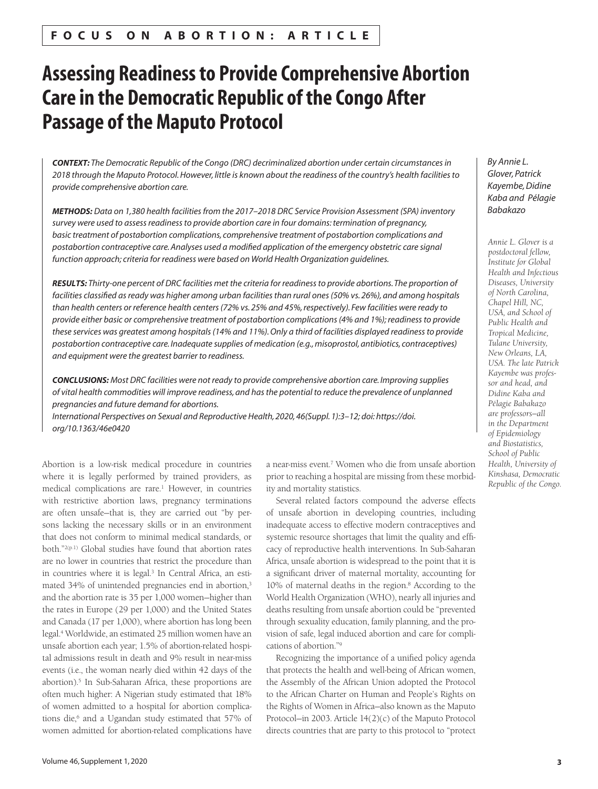# **Assessing Readiness to Provide Comprehensive Abortion Care in the Democratic Republic of the Congo After Passage of the Maputo Protocol**

*CONTEXT: The Democratic Republic of the Congo (DRC) decriminalized abortion under certain circumstances in 2018 through the Maputo Protocol. However, little is known about the readiness of the country's health facilities to provide comprehensive abortion care.*

*METHODS: Data on 1,380 health facilities from the 2017–2018 DRC Service Provision Assessment (SPA) inventory survey were used to assess readiness to provide abortion care in four domains: termination of pregnancy, basic treatment of postabortion complications, comprehensive treatment of postabortion complications and postabortion contraceptive care. Analyses used a modified application of the emergency obstetric care signal function approach; criteria for readiness were based on World Health Organization guidelines.*

*RESULTS: Thirty-one percent of DRC facilities met the criteria for readiness to provide abortions. The proportion of facilities classified as ready was higher among urban facilities than rural ones (50% vs. 26%), and among hospitals than health centers or reference health centers (72% vs. 25% and 45%, respectively). Few facilities were ready to provide either basic or comprehensive treatment of postabortion complications (4% and 1%); readiness to provide these services was greatest among hospitals (14% and 11%). Only a third of facilities displayed readiness to provide postabortion contraceptive care. Inadequate supplies of medication (e.g., misoprostol, antibiotics, contraceptives) and equipment were the greatest barrier to readiness.*

*CONCLUSIONS: Most DRC facilities were not ready to provide comprehensive abortion care. Improving supplies of vital health commodities will improve readiness, and has the potential to reduce the prevalence of unplanned pregnancies and future demand for abortions.*

*International Perspectives on Sexual and Reproductive Health, 2020, 46(Suppl. 1):3–12; doi: https://doi. org/10.1363/46e0420*

Abortion is a low-risk medical procedure in countries where it is legally performed by trained providers, as medical complications are rare.<sup>1</sup> However, in countries with restrictive abortion laws, pregnancy terminations are often unsafe—that is, they are carried out "by persons lacking the necessary skills or in an environment that does not conform to minimal medical standards, or both."2(p.1) Global studies have found that abortion rates are no lower in countries that restrict the procedure than in countries where it is legal.<sup>3</sup> In Central Africa, an estimated 34% of unintended pregnancies end in abortion,<sup>3</sup> and the abortion rate is 35 per 1,000 women—higher than the rates in Europe (29 per 1,000) and the United States and Canada (17 per 1,000), where abortion has long been legal.4 Worldwide, an estimated 25 million women have an unsafe abortion each year; 1.5% of abortion-related hospital admissions result in death and 9% result in near-miss events (i.e., the woman nearly died within 42 days of the abortion).<sup>5</sup> In Sub-Saharan Africa, these proportions are often much higher: A Nigerian study estimated that 18% of women admitted to a hospital for abortion complications die,<sup>6</sup> and a Ugandan study estimated that 57% of women admitted for abortion-related complications have

a near-miss event.7 Women who die from unsafe abortion prior to reaching a hospital are missing from these morbidity and mortality statistics.

Several related factors compound the adverse effects of unsafe abortion in developing countries, including inadequate access to effective modern contraceptives and systemic resource shortages that limit the quality and efficacy of reproductive health interventions. In Sub-Saharan Africa, unsafe abortion is widespread to the point that it is a significant driver of maternal mortality, accounting for 10% of maternal deaths in the region.8 According to the World Health Organization (WHO), nearly all injuries and deaths resulting from unsafe abortion could be "prevented through sexuality education, family planning, and the provision of safe, legal induced abortion and care for complications of abortion."9

Recognizing the importance of a unified policy agenda that protects the health and well-being of African women, the Assembly of the African Union adopted the Protocol to the African Charter on Human and People's Rights on the Rights of Women in Africa—also known as the Maputo Protocol—in 2003. Article 14(2)(c) of the Maputo Protocol directs countries that are party to this protocol to "protect

## *By Annie L. Glover, Patrick Kayembe, Didine Kaba and Pélagie Babakazo*

*Annie L. Glover is a postdoctoral fellow, Institute for Global Health and Infectious Diseases, University of North Carolina, Chapel Hill, NC, USA, and School of Public Health and Tropical Medicine, Tulane University, New Orleans, LA, USA. The late Patrick Kayembe was professor and head, and Didine Kaba and Pélagie Babakazo are professors—all in the Department of Epidemiology and Biostatistics, School of Public Health, University of Kinshasa, Democratic Republic of the Congo.*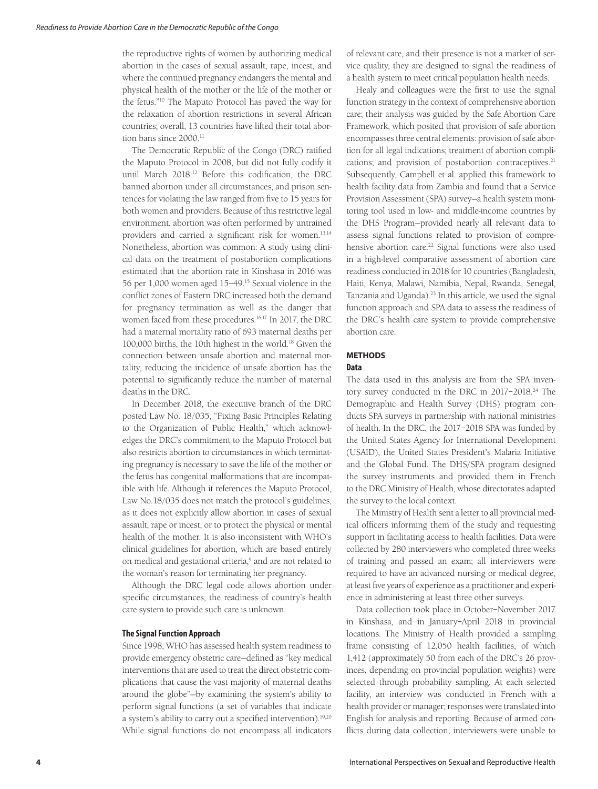the reproductive rights of women by authorizing medical abortion in the cases of sexual assault, rape, incest, and where the continued pregnancy endangers the mental and physical health of the mother or the life of the mother or the fetus."10 The Maputo Protocol has paved the way for the relaxation of abortion restrictions in several African countries; overall, 13 countries have lifted their total abortion bans since 2000.<sup>11</sup>

The Democratic Republic of the Congo (DRC) ratified the Maputo Protocol in 2008, but did not fully codify it until March 2018.12 Before this codification, the DRC banned abortion under all circumstances, and prison sentences for violating the law ranged from five to 15 years for both women and providers. Because of this restrictive legal environment, abortion was often performed by untrained providers and carried a significant risk for women.13,14 Nonetheless, abortion was common: A study using clinical data on the treatment of postabortion complications estimated that the abortion rate in Kinshasa in 2016 was 56 per 1,000 women aged 15–49.15 Sexual violence in the conflict zones of Eastern DRC increased both the demand for pregnancy termination as well as the danger that women faced from these procedures.16,17 In 2017, the DRC had a maternal mortality ratio of 693 maternal deaths per 100,000 births, the 10th highest in the world.18 Given the connection between unsafe abortion and maternal mortality, reducing the incidence of unsafe abortion has the potential to significantly reduce the number of maternal deaths in the DRC.

In December 2018, the executive branch of the DRC posted Law No. 18/035, "Fixing Basic Principles Relating to the Organization of Public Health," which acknowledges the DRC's commitment to the Maputo Protocol but also restricts abortion to circumstances in which terminating pregnancy is necessary to save the life of the mother or the fetus has congenital malformations that are incompatible with life. Although it references the Maputo Protocol, Law No.18/035 does not match the protocol's guidelines, as it does not explicitly allow abortion in cases of sexual assault, rape or incest, or to protect the physical or mental health of the mother. It is also inconsistent with WHO's clinical guidelines for abortion, which are based entirely on medical and gestational criteria,<sup>9</sup> and are not related to the woman's reason for terminating her pregnancy.

Although the DRC legal code allows abortion under specific circumstances, the readiness of country's health care system to provide such care is unknown.

#### **The Signal Function Approach**

Since 1998, WHO has assessed health system readiness to provide emergency obstetric care—defined as "key medical interventions that are used to treat the direct obstetric complications that cause the vast majority of maternal deaths around the globe"—by examining the system's ability to perform signal functions (a set of variables that indicate a system's ability to carry out a specified intervention).19,20 While signal functions do not encompass all indicators

of relevant care, and their presence is not a marker of service quality, they are designed to signal the readiness of a health system to meet critical population health needs.

Healy and colleagues were the first to use the signal function strategy in the context of comprehensive abortion care; their analysis was guided by the Safe Abortion Care Framework, which posited that provision of safe abortion encompasses three central elements: provision of safe abortion for all legal indications; treatment of abortion complications; and provision of postabortion contraceptives.<sup>21</sup> Subsequently, Campbell et al. applied this framework to health facility data from Zambia and found that a Service Provision Assessment (SPA) survey—a health system monitoring tool used in low- and middle-income countries by the DHS Program—provided nearly all relevant data to assess signal functions related to provision of comprehensive abortion care.<sup>22</sup> Signal functions were also used in a high-level comparative assessment of abortion care readiness conducted in 2018 for 10 countries (Bangladesh, Haiti, Kenya, Malawi, Namibia, Nepal, Rwanda, Senegal, Tanzania and Uganda).<sup>23</sup> In this article, we used the signal function approach and SPA data to assess the readiness of the DRC's health care system to provide comprehensive abortion care.

## **METHODS**

## **Data**

The data used in this analysis are from the SPA inventory survey conducted in the DRC in 2017-2018.<sup>24</sup> The Demographic and Health Survey (DHS) program conducts SPA surveys in partnership with national ministries of health. In the DRC, the 2017–2018 SPA was funded by the United States Agency for International Development (USAID), the United States President's Malaria Initiative and the Global Fund. The DHS/SPA program designed the survey instruments and provided them in French to the DRC Ministry of Health, whose directorates adapted the survey to the local context.

The Ministry of Health sent a letter to all provincial medical officers informing them of the study and requesting support in facilitating access to health facilities. Data were collected by 280 interviewers who completed three weeks of training and passed an exam; all interviewers were required to have an advanced nursing or medical degree, at least five years of experience as a practitioner and experience in administering at least three other surveys.

Data collection took place in October–November 2017 in Kinshasa, and in January–April 2018 in provincial locations. The Ministry of Health provided a sampling frame consisting of 12,050 health facilities, of which 1,412 (approximately 50 from each of the DRC's 26 provinces, depending on provincial population weights) were selected through probability sampling. At each selected facility, an interview was conducted in French with a health provider or manager; responses were translated into English for analysis and reporting. Because of armed conflicts during data collection, interviewers were unable to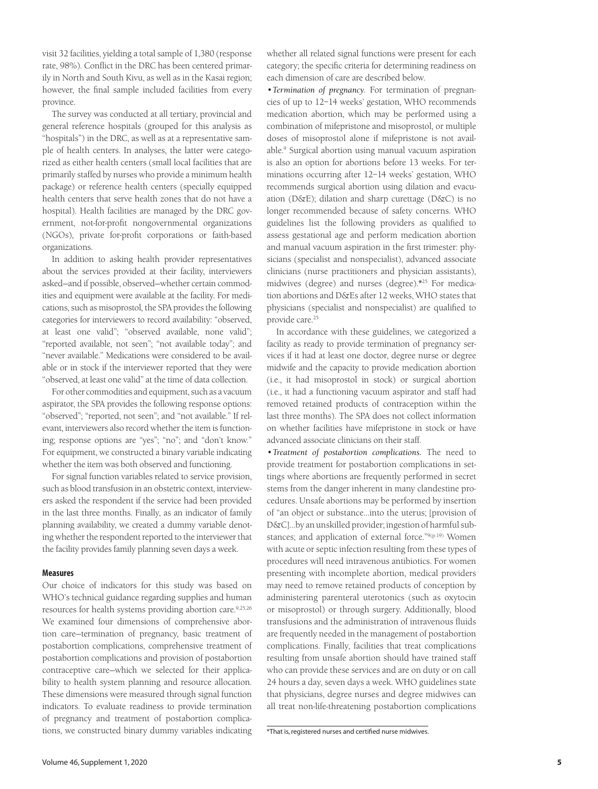visit 32 facilities, yielding a total sample of 1,380 (response rate, 98%). Conflict in the DRC has been centered primarily in North and South Kivu, as well as in the Kasai region; however, the final sample included facilities from every province.

The survey was conducted at all tertiary, provincial and general reference hospitals (grouped for this analysis as "hospitals") in the DRC, as well as at a representative sample of health centers. In analyses, the latter were categorized as either health centers (small local facilities that are primarily staffed by nurses who provide a minimum health package) or reference health centers (specially equipped health centers that serve health zones that do not have a hospital). Health facilities are managed by the DRC government, not-for-profit nongovernmental organizations (NGOs), private for-profit corporations or faith-based organizations.

In addition to asking health provider representatives about the services provided at their facility, interviewers asked—and if possible, observed—whether certain commodities and equipment were available at the facility. For medications, such as misoprostol, the SPA provides the following categories for interviewers to record availability: "observed, at least one valid"; "observed available, none valid"; "reported available, not seen"; "not available today"; and "never available." Medications were considered to be available or in stock if the interviewer reported that they were "observed, at least one valid" at the time of data collection.

For other commodities and equipment, such as a vacuum aspirator, the SPA provides the following response options: "observed"; "reported, not seen"; and "not available." If relevant, interviewers also record whether the item is functioning; response options are "yes"; "no"; and "don't know." For equipment, we constructed a binary variable indicating whether the item was both observed and functioning.

For signal function variables related to service provision, such as blood transfusion in an obstetric context, interviewers asked the respondent if the service had been provided in the last three months. Finally, as an indicator of family planning availability, we created a dummy variable denoting whether the respondent reported to the interviewer that the facility provides family planning seven days a week.

#### **Measures**

Our choice of indicators for this study was based on WHO's technical guidance regarding supplies and human resources for health systems providing abortion care.9,25,26 We examined four dimensions of comprehensive abortion care—termination of pregnancy, basic treatment of postabortion complications, comprehensive treatment of postabortion complications and provision of postabortion contraceptive care—which we selected for their applicability to health system planning and resource allocation. These dimensions were measured through signal function indicators. To evaluate readiness to provide termination of pregnancy and treatment of postabortion complications, we constructed binary dummy variables indicating whether all related signal functions were present for each category; the specific criteria for determining readiness on each dimension of care are described below.

•*Termination of pregnancy.* For termination of pregnancies of up to 12–14 weeks' gestation, WHO recommends medication abortion, which may be performed using a combination of mifepristone and misoprostol, or multiple doses of misoprostol alone if mifepristone is not available.9 Surgical abortion using manual vacuum aspiration is also an option for abortions before 13 weeks. For terminations occurring after 12–14 weeks' gestation, WHO recommends surgical abortion using dilation and evacuation (D&E); dilation and sharp curettage (D&C) is no longer recommended because of safety concerns. WHO guidelines list the following providers as qualified to assess gestational age and perform medication abortion and manual vacuum aspiration in the first trimester: physicians (specialist and nonspecialist), advanced associate clinicians (nurse practitioners and physician assistants), midwives (degree) and nurses (degree).\*25 For medication abortions and D&Es after 12 weeks, WHO states that physicians (specialist and nonspecialist) are qualified to provide care.25

In accordance with these guidelines, we categorized a facility as ready to provide termination of pregnancy services if it had at least one doctor, degree nurse or degree midwife and the capacity to provide medication abortion (i.e., it had misoprostol in stock) or surgical abortion (i.e., it had a functioning vacuum aspirator and staff had removed retained products of contraception within the last three months). The SPA does not collect information on whether facilities have mifepristone in stock or have advanced associate clinicians on their staff.

•*Treatment of postabortion complications.* The need to provide treatment for postabortion complications in settings where abortions are frequently performed in secret stems from the danger inherent in many clandestine procedures. Unsafe abortions may be performed by insertion of "an object or substance…into the uterus; [provision of D&C]…by an unskilled provider; ingestion of harmful substances; and application of external force."<sup>9(p.19)</sup> Women with acute or septic infection resulting from these types of procedures will need intravenous antibiotics. For women presenting with incomplete abortion, medical providers may need to remove retained products of conception by administering parenteral uterotonics (such as oxytocin or misoprostol) or through surgery. Additionally, blood transfusions and the administration of intravenous fluids are frequently needed in the management of postabortion complications. Finally, facilities that treat complications resulting from unsafe abortion should have trained staff who can provide these services and are on duty or on call 24 hours a day, seven days a week. WHO guidelines state that physicians, degree nurses and degree midwives can all treat non-life-threatening postabortion complications

<sup>\*</sup>That is, registered nurses and certified nurse midwives.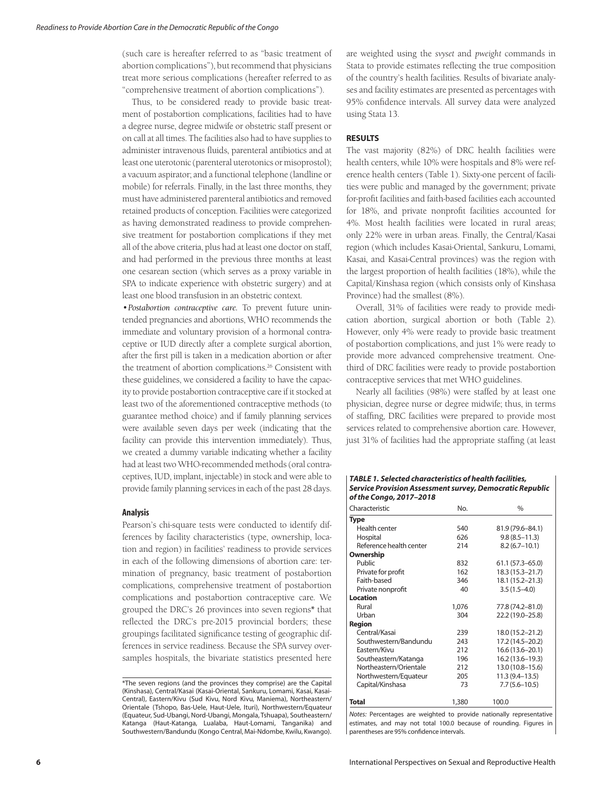(such care is hereafter referred to as "basic treatment of abortion complications"), but recommend that physicians treat more serious complications (hereafter referred to as "comprehensive treatment of abortion complications").

Thus, to be considered ready to provide basic treatment of postabortion complications, facilities had to have a degree nurse, degree midwife or obstetric staff present or on call at all times. The facilities also had to have supplies to administer intravenous fluids, parenteral antibiotics and at least one uterotonic (parenteral uterotonics or misoprostol); a vacuum aspirator; and a functional telephone (landline or mobile) for referrals. Finally, in the last three months, they must have administered parenteral antibiotics and removed retained products of conception. Facilities were categorized as having demonstrated readiness to provide comprehensive treatment for postabortion complications if they met all of the above criteria, plus had at least one doctor on staff, and had performed in the previous three months at least one cesarean section (which serves as a proxy variable in SPA to indicate experience with obstetric surgery) and at least one blood transfusion in an obstetric context.

•*Postabortion contraceptive care.* To prevent future unintended pregnancies and abortions, WHO recommends the immediate and voluntary provision of a hormonal contraceptive or IUD directly after a complete surgical abortion, after the first pill is taken in a medication abortion or after the treatment of abortion complications.26 Consistent with these guidelines, we considered a facility to have the capacity to provide postabortion contraceptive care if it stocked at least two of the aforementioned contraceptive methods (to guarantee method choice) and if family planning services were available seven days per week (indicating that the facility can provide this intervention immediately). Thus, we created a dummy variable indicating whether a facility had at least two WHO-recommended methods (oral contraceptives, IUD, implant, injectable) in stock and were able to provide family planning services in each of the past 28 days.

#### **Analysis**

Pearson's chi-square tests were conducted to identify differences by facility characteristics (type, ownership, location and region) in facilities' readiness to provide services in each of the following dimensions of abortion care: termination of pregnancy, basic treatment of postabortion complications, comprehensive treatment of postabortion complications and postabortion contraceptive care. We grouped the DRC's 26 provinces into seven regions\* that reflected the DRC's pre-2015 provincial borders; these groupings facilitated significance testing of geographic differences in service readiness. Because the SPA survey oversamples hospitals, the bivariate statistics presented here are weighted using the *svyset* and *pweight* commands in Stata to provide estimates reflecting the true composition of the country's health facilities. Results of bivariate analyses and facility estimates are presented as percentages with 95% confidence intervals. All survey data were analyzed using Stata 13.

### **RESULTS**

The vast majority (82%) of DRC health facilities were health centers, while 10% were hospitals and 8% were reference health centers (Table 1). Sixty-one percent of facilities were public and managed by the government; private for-profit facilities and faith-based facilities each accounted for 18%, and private nonprofit facilities accounted for 4%. Most health facilities were located in rural areas; only 22% were in urban areas. Finally, the Central/Kasai region (which includes Kasai-Oriental, Sankuru, Lomami, Kasai, and Kasai-Central provinces) was the region with the largest proportion of health facilities (18%), while the Capital/Kinshasa region (which consists only of Kinshasa Province) had the smallest (8%).

Overall, 31% of facilities were ready to provide medication abortion, surgical abortion or both (Table 2). However, only 4% were ready to provide basic treatment of postabortion complications, and just 1% were ready to provide more advanced comprehensive treatment. Onethird of DRC facilities were ready to provide postabortion contraceptive services that met WHO guidelines.

Nearly all facilities (98%) were staffed by at least one physician, degree nurse or degree midwife; thus, in terms of staffing, DRC facilities were prepared to provide most services related to comprehensive abortion care. However, just 31% of facilities had the appropriate staffing (at least

*TABLE 1. Selected characteristics of health facilities, Service Provision Assessment survey, Democratic Republic of the Congo, 2017–2018*

| Characteristic          | No.   | $\%$                |
|-------------------------|-------|---------------------|
| Type                    |       |                     |
| Health center           | 540   | 81.9 (79.6-84.1)    |
| Hospital                | 626   | $9.8(8.5 - 11.3)$   |
| Reference health center | 214   | $8.2(6.7-10.1)$     |
| Ownership               |       |                     |
| Public                  | 832   | 61.1 (57.3–65.0)    |
| Private for profit      | 162   | 18.3 (15.3-21.7)    |
| Faith-based             | 346   | 18.1 (15.2-21.3)    |
| Private nonprofit       | 40    | $3.5(1.5-4.0)$      |
| <b>Location</b>         |       |                     |
| Rural                   | 1,076 | 77.8 (74.2–81.0)    |
| Urban                   | 304   | 22.2 (19.0-25.8)    |
| Region                  |       |                     |
| Central/Kasai           | 239   | 18.0 (15.2-21.2)    |
| Southwestern/Bandundu   | 243   | 17.2 (14.5-20.2)    |
| Eastern/Kivu            | 212   | $16.6(13.6 - 20.1)$ |
| Southeastern/Katanga    | 196   | 16.2 (13.6-19.3)    |
| Northeastern/Orientale  | 212   | 13.0 (10.8-15.6)    |
| Northwestern/Equateur   | 205   | $11.3(9.4 - 13.5)$  |
| Capital/Kinshasa        | 73    | $7.7(5.6 - 10.5)$   |
|                         |       |                     |
| Total                   | 1,380 | 100.0               |

*Notes:* Percentages are weighted to provide nationally representative estimates, and may not total 100.0 because of rounding. Figures in parentheses are 95% confidence intervals.

<sup>\*</sup>The seven regions (and the provinces they comprise) are the Capital (Kinshasa), Central/Kasai (Kasai-Oriental, Sankuru, Lomami, Kasai, Kasai-Central), Eastern/Kivu (Sud Kivu, Nord Kivu, Maniema), Northeastern/ Orientale (Tshopo, Bas-Uele, Haut-Uele, Ituri), Northwestern/Equateur (Equateur, Sud-Ubangi, Nord-Ubangi, Mongala, Tshuapa), Southeastern/ Katanga (Haut-Katanga, Lualaba, Haut-Lomami, Tanganika) and Southwestern/Bandundu (Kongo Central, Mai-Ndombe, Kwilu, Kwango).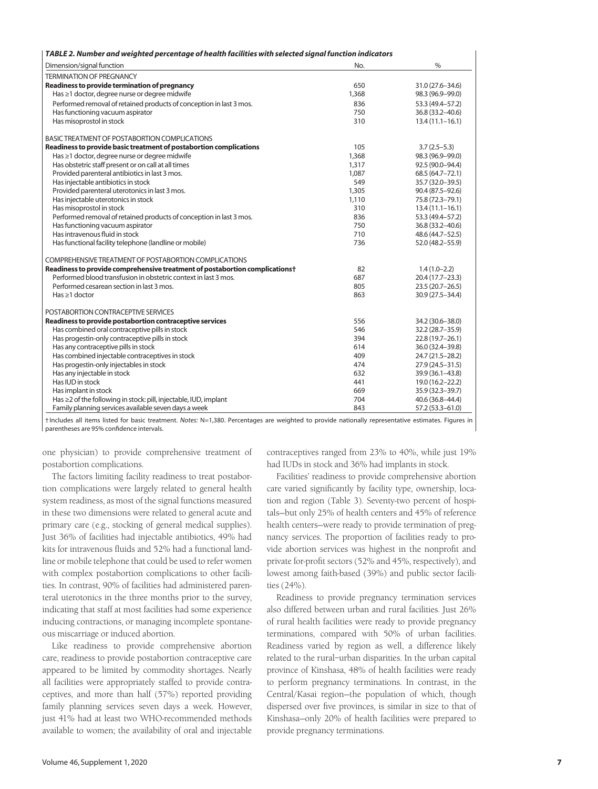| TABLE 2. Number and weighted percentage of health facilities with selected signal function indicators |       |                     |  |  |  |
|-------------------------------------------------------------------------------------------------------|-------|---------------------|--|--|--|
| Dimension/signal function                                                                             | No.   | $\frac{0}{0}$       |  |  |  |
| <b>TERMINATION OF PREGNANCY</b>                                                                       |       |                     |  |  |  |
| Readiness to provide termination of pregnancy                                                         | 650   | 31.0 (27.6-34.6)    |  |  |  |
| Has ≥1 doctor, degree nurse or degree midwife                                                         | 1,368 | 98.3 (96.9-99.0)    |  |  |  |
| Performed removal of retained products of conception in last 3 mos.                                   | 836   | 53.3 (49.4-57.2)    |  |  |  |
| Has functioning vacuum aspirator                                                                      | 750   | 36.8 (33.2-40.6)    |  |  |  |
| Has misoprostol in stock                                                                              | 310   | $13.4(11.1 - 16.1)$ |  |  |  |
| BASIC TREATMENT OF POSTABORTION COMPLICATIONS                                                         |       |                     |  |  |  |
| Readiness to provide basic treatment of postabortion complications                                    | 105   | $3.7(2.5-5.3)$      |  |  |  |
| Has ≥1 doctor, degree nurse or degree midwife                                                         | 1,368 | 98.3 (96.9-99.0)    |  |  |  |
| Has obstetric staff present or on call at all times                                                   | 1,317 | 92.5 (90.0-94.4)    |  |  |  |
| Provided parenteral antibiotics in last 3 mos.                                                        | 1,087 | 68.5 (64.7-72.1)    |  |  |  |
| Has injectable antibiotics in stock                                                                   | 549   | 35.7 (32.0-39.5)    |  |  |  |
| Provided parenteral uterotonics in last 3 mos.                                                        | 1,305 | 90.4 (87.5-92.6)    |  |  |  |
| Has injectable uterotonics in stock                                                                   | 1,110 | 75.8 (72.3-79.1)    |  |  |  |
| Has misoprostol in stock                                                                              | 310   | $13.4(11.1 - 16.1)$ |  |  |  |
| Performed removal of retained products of conception in last 3 mos.                                   | 836   | 53.3 (49.4-57.2)    |  |  |  |
| Has functioning vacuum aspirator                                                                      | 750   | 36.8 (33.2-40.6)    |  |  |  |
| Has intravenous fluid in stock                                                                        | 710   | 48.6 (44.7-52.5)    |  |  |  |
| Has functional facility telephone (landline or mobile)                                                | 736   | 52.0 (48.2-55.9)    |  |  |  |
| COMPREHENSIVE TREATMENT OF POSTABORTION COMPLICATIONS                                                 |       |                     |  |  |  |
| Readiness to provide comprehensive treatment of postabortion complications†                           | 82    | $1.4(1.0-2.2)$      |  |  |  |
| Performed blood transfusion in obstetric context in last 3 mos.                                       | 687   | 20.4 (17.7-23.3)    |  |  |  |
| Performed cesarean section in last 3 mos.                                                             | 805   | $23.5(20.7 - 26.5)$ |  |  |  |
| $Has \ge 1$ doctor                                                                                    | 863   | 30.9 (27.5-34.4)    |  |  |  |
| POSTABORTION CONTRACEPTIVE SERVICES                                                                   |       |                     |  |  |  |
| Readiness to provide postabortion contraceptive services                                              | 556   | 34.2 (30.6-38.0)    |  |  |  |
| Has combined oral contraceptive pills in stock                                                        | 546   | 32.2 (28.7-35.9)    |  |  |  |
| Has progestin-only contraceptive pills in stock                                                       | 394   | $22.8(19.7-26.1)$   |  |  |  |
| Has any contraceptive pills in stock                                                                  | 614   | 36.0 (32.4-39.8)    |  |  |  |
| Has combined injectable contraceptives in stock                                                       | 409   | 24.7 (21.5-28.2)    |  |  |  |
| Has progestin-only injectables in stock                                                               | 474   | 27.9 (24.5-31.5)    |  |  |  |
| Has any injectable in stock                                                                           | 632   | 39.9 (36.1-43.8)    |  |  |  |
| Has IUD in stock                                                                                      | 441   | 19.0 (16.2-22.2)    |  |  |  |
| Has implant in stock                                                                                  | 669   | 35.9 (32.3 - 39.7)  |  |  |  |
| Has ≥2 of the following in stock: pill, injectable, IUD, implant                                      | 704   | 40.6 (36.8-44.4)    |  |  |  |
| Family planning services available seven days a week                                                  | 843   | 57.2 (53.3-61.0)    |  |  |  |

†Includes all items listed for basic treatment. *Notes:* N=1,380. Percentages are weighted to provide nationally representative estimates. Figures in parentheses are 95% confidence intervals.

one physician) to provide comprehensive treatment of postabortion complications.

The factors limiting facility readiness to treat postabortion complications were largely related to general health system readiness, as most of the signal functions measured in these two dimensions were related to general acute and primary care (e.g., stocking of general medical supplies). Just 36% of facilities had injectable antibiotics, 49% had kits for intravenous fluids and 52% had a functional landline or mobile telephone that could be used to refer women with complex postabortion complications to other facilities. In contrast, 90% of facilities had administered parenteral uterotonics in the three months prior to the survey, indicating that staff at most facilities had some experience inducing contractions, or managing incomplete spontaneous miscarriage or induced abortion.

Like readiness to provide comprehensive abortion care, readiness to provide postabortion contraceptive care appeared to be limited by commodity shortages. Nearly all facilities were appropriately staffed to provide contraceptives, and more than half (57%) reported providing family planning services seven days a week. However, just 41% had at least two WHO-recommended methods available to women; the availability of oral and injectable

contraceptives ranged from 23% to 40%, while just 19% had IUDs in stock and 36% had implants in stock.

Facilities' readiness to provide comprehensive abortion care varied significantly by facility type, ownership, location and region (Table 3). Seventy-two percent of hospitals—but only 25% of health centers and 45% of reference health centers—were ready to provide termination of pregnancy services. The proportion of facilities ready to provide abortion services was highest in the nonprofit and private for-profit sectors (52% and 45%, respectively), and lowest among faith-based (39%) and public sector facilities (24%).

Readiness to provide pregnancy termination services also differed between urban and rural facilities. Just 26% of rural health facilities were ready to provide pregnancy terminations, compared with 50% of urban facilities. Readiness varied by region as well, a difference likely related to the rural–urban disparities. In the urban capital province of Kinshasa, 48% of health facilities were ready to perform pregnancy terminations. In contrast, in the Central/Kasai region—the population of which, though dispersed over five provinces, is similar in size to that of Kinshasa—only 20% of health facilities were prepared to provide pregnancy terminations.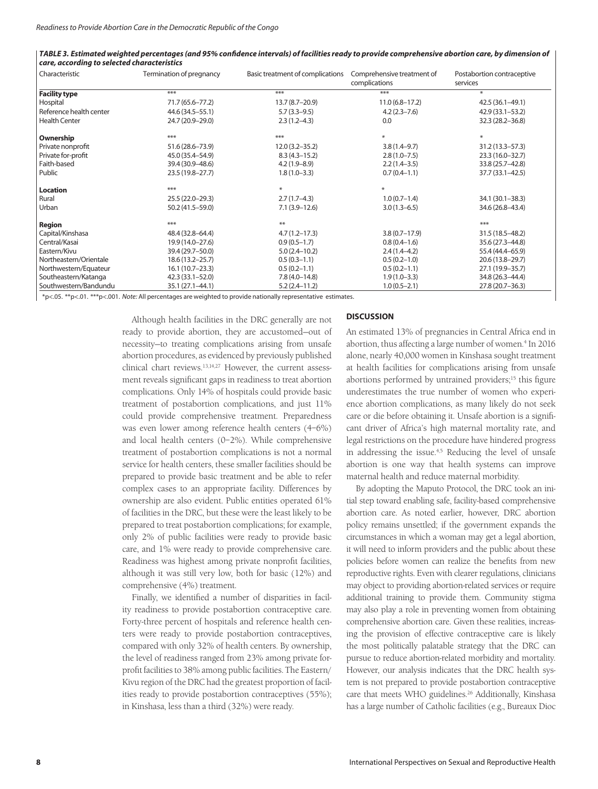| TABLE 3. Estimated weighted percentages (and 95% confidence intervals) of facilities ready to provide comprehensive abortion care, by dimension of |  |
|----------------------------------------------------------------------------------------------------------------------------------------------------|--|
| care, according to selected characteristics                                                                                                        |  |

| Characteristic          | Termination of pregnancy | Basic treatment of complications | Comprehensive treatment of<br>complications | Postabortion contraceptive<br>services |
|-------------------------|--------------------------|----------------------------------|---------------------------------------------|----------------------------------------|
| <b>Facility type</b>    | ***                      | $***$                            | ***                                         | $*$                                    |
| Hospital                | 71.7 (65.6–77.2)         | $13.7(8.7-20.9)$                 | $11.0(6.8-17.2)$                            | $42.5(36.1 - 49.1)$                    |
| Reference health center | 44.6 (34.5-55.1)         | $5.7(3.3-9.5)$                   | $4.2(2.3 - 7.6)$                            | $42.9(33.1 - 53.2)$                    |
| <b>Health Center</b>    | 24.7 (20.9-29.0)         | $2.3(1.2-4.3)$                   | 0.0                                         | $32.3(28.2 - 36.8)$                    |
| Ownership               | ***                      | ***                              | $*$                                         | $*$                                    |
| Private nonprofit       | 51.6 (28.6–73.9)         | $12.0(3.2 - 35.2)$               | $3.8(1.4 - 9.7)$                            | $31.2(13.3 - 57.3)$                    |
| Private for-profit      | 45.0 (35.4–54.9)         | $8.3(4.3 - 15.2)$                | $2.8(1.0 - 7.5)$                            | 23.3 (16.0-32.7)                       |
| Faith-based             | 39.4 (30.9-48.6)         | $4.2(1.9 - 8.9)$                 | $2.2(1.4-3.5)$                              | 33.8 (25.7–42.8)                       |
| Public                  | $23.5(19.8-27.7)$        | $1.8(1.0-3.3)$                   | $0.7(0.4-1.1)$                              | $37.7(33.1 - 42.5)$                    |
| <b>Location</b>         | $***$                    | $\ast$                           |                                             |                                        |
| Rural                   | 25.5 (22.0-29.3)         | $2.7(1.7-4.3)$                   | $1.0(0.7-1.4)$                              | 34.1 (30.1-38.3)                       |
| Urban                   | 50.2 (41.5–59.0)         | $7.1(3.9-12.6)$                  | $3.0(1.3-6.5)$                              | 34.6 (26.8-43.4)                       |
| <b>Region</b>           | ***                      | $***$                            |                                             | ***                                    |
| Capital/Kinshasa        | 48.4 (32.8–64.4)         | $4.7(1.2 - 17.3)$                | $3.8(0.7 - 17.9)$                           | $31.5(18.5 - 48.2)$                    |
| Central/Kasai           | 19.9 (14.0-27.6)         | $0.9(0.5-1.7)$                   | $0.8(0.4-1.6)$                              | 35.6 (27.3-44.8)                       |
| Eastern/Kivu            | 39.4 (29.7-50.0)         | $5.0(2.4-10.2)$                  | $2.4(1.4-4.2)$                              | 55.4 (44.4–65.9)                       |
| Northeastern/Orientale  | $18.6(13.2 - 25.7)$      | $0.5(0.3-1.1)$                   | $0.5(0.2-1.0)$                              | 20.6 (13.8-29.7)                       |
| Northwestern/Equateur   | $16.1(10.7-23.3)$        | $0.5(0.2 - 1.1)$                 | $0.5(0.2-1.1)$                              | 27.1 (19.9-35.7)                       |
| Southeastern/Katanga    | 42.3 (33.1–52.0)         | $7.8(4.0-14.8)$                  | $1.9(1.0-3.3)$                              | 34.8 (26.3-44.4)                       |
| Southwestern/Bandundu   | 35.1 (27.1-44.1)         | $5.2(2.4 - 11.2)$                | $1.0(0.5-2.1)$                              | 27.8 (20.7-36.3)                       |

\*p<.05.  \*\*p<.01.  \*\*\*p<.001.  *Note:* All percentages are weighted to provide nationally representative estimates.

Although health facilities in the DRC generally are not ready to provide abortion, they are accustomed—out of necessity—to treating complications arising from unsafe abortion procedures, as evidenced by previously published clinical chart reviews.13,14,27 However, the current assessment reveals significant gaps in readiness to treat abortion complications. Only 14% of hospitals could provide basic treatment of postabortion complications, and just 11% could provide comprehensive treatment. Preparedness was even lower among reference health centers (4–6%) and local health centers (0–2%). While comprehensive treatment of postabortion complications is not a normal service for health centers, these smaller facilities should be prepared to provide basic treatment and be able to refer complex cases to an appropriate facility. Differences by ownership are also evident. Public entities operated 61% of facilities in the DRC, but these were the least likely to be prepared to treat postabortion complications; for example, only 2% of public facilities were ready to provide basic care, and 1% were ready to provide comprehensive care. Readiness was highest among private nonprofit facilities, although it was still very low, both for basic (12%) and comprehensive (4%) treatment.

Finally, we identified a number of disparities in facility readiness to provide postabortion contraceptive care. Forty-three percent of hospitals and reference health centers were ready to provide postabortion contraceptives, compared with only 32% of health centers. By ownership, the level of readiness ranged from 23% among private forprofit facilities to 38% among public facilities. The Eastern/ Kivu region of the DRC had the greatest proportion of facilities ready to provide postabortion contraceptives (55%); in Kinshasa, less than a third (32%) were ready.

#### **DISCUSSION**

An estimated 13% of pregnancies in Central Africa end in abortion, thus affecting a large number of women.4 In 2016 alone, nearly 40,000 women in Kinshasa sought treatment at health facilities for complications arising from unsafe abortions performed by untrained providers;<sup>15</sup> this figure underestimates the true number of women who experience abortion complications, as many likely do not seek care or die before obtaining it. Unsafe abortion is a significant driver of Africa's high maternal mortality rate, and legal restrictions on the procedure have hindered progress in addressing the issue.<sup>4,5</sup> Reducing the level of unsafe abortion is one way that health systems can improve maternal health and reduce maternal morbidity.

By adopting the Maputo Protocol, the DRC took an initial step toward enabling safe, facility-based comprehensive abortion care. As noted earlier, however, DRC abortion policy remains unsettled; if the government expands the circumstances in which a woman may get a legal abortion, it will need to inform providers and the public about these policies before women can realize the benefits from new reproductive rights. Even with clearer regulations, clinicians may object to providing abortion-related services or require additional training to provide them. Community stigma may also play a role in preventing women from obtaining comprehensive abortion care. Given these realities, increasing the provision of effective contraceptive care is likely the most politically palatable strategy that the DRC can pursue to reduce abortion-related morbidity and mortality. However, our analysis indicates that the DRC health system is not prepared to provide postabortion contraceptive care that meets WHO guidelines.<sup>26</sup> Additionally, Kinshasa has a large number of Catholic facilities (e.g., Bureaux Dioc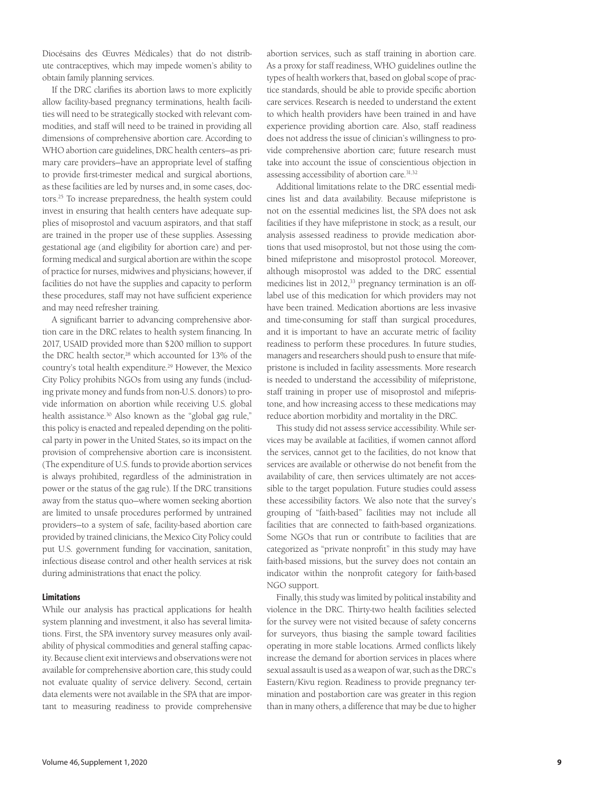Diocésains des Œuvres Médicales) that do not distribute contraceptives, which may impede women's ability to obtain family planning services.

If the DRC clarifies its abortion laws to more explicitly allow facility-based pregnancy terminations, health facilities will need to be strategically stocked with relevant commodities, and staff will need to be trained in providing all dimensions of comprehensive abortion care. According to WHO abortion care guidelines, DRC health centers—as primary care providers—have an appropriate level of staffing to provide first-trimester medical and surgical abortions, as these facilities are led by nurses and, in some cases, doctors.25 To increase preparedness, the health system could invest in ensuring that health centers have adequate supplies of misoprostol and vacuum aspirators, and that staff are trained in the proper use of these supplies. Assessing gestational age (and eligibility for abortion care) and performing medical and surgical abortion are within the scope of practice for nurses, midwives and physicians; however, if facilities do not have the supplies and capacity to perform these procedures, staff may not have sufficient experience and may need refresher training.

A significant barrier to advancing comprehensive abortion care in the DRC relates to health system financing. In 2017, USAID provided more than \$200 million to support the DRC health sector,<sup>28</sup> which accounted for 13% of the country's total health expenditure.29 However, the Mexico City Policy prohibits NGOs from using any funds (including private money and funds from non-U.S. donors) to provide information on abortion while receiving U.S. global health assistance.<sup>30</sup> Also known as the "global gag rule," this policy is enacted and repealed depending on the political party in power in the United States, so its impact on the provision of comprehensive abortion care is inconsistent. (The expenditure of U.S. funds to provide abortion services is always prohibited, regardless of the administration in power or the status of the gag rule). If the DRC transitions away from the status quo—where women seeking abortion are limited to unsafe procedures performed by untrained providers—to a system of safe, facility-based abortion care provided by trained clinicians, the Mexico City Policy could put U.S. government funding for vaccination, sanitation, infectious disease control and other health services at risk during administrations that enact the policy.

## **Limitations**

While our analysis has practical applications for health system planning and investment, it also has several limitations. First, the SPA inventory survey measures only availability of physical commodities and general staffing capacity. Because client exit interviews and observations were not available for comprehensive abortion care, this study could not evaluate quality of service delivery. Second, certain data elements were not available in the SPA that are important to measuring readiness to provide comprehensive

abortion services, such as staff training in abortion care. As a proxy for staff readiness, WHO guidelines outline the types of health workers that, based on global scope of practice standards, should be able to provide specific abortion care services. Research is needed to understand the extent to which health providers have been trained in and have experience providing abortion care. Also, staff readiness does not address the issue of clinician's willingness to provide comprehensive abortion care; future research must take into account the issue of conscientious objection in assessing accessibility of abortion care.31,32

Additional limitations relate to the DRC essential medicines list and data availability. Because mifepristone is not on the essential medicines list, the SPA does not ask facilities if they have mifepristone in stock; as a result, our analysis assessed readiness to provide medication abortions that used misoprostol, but not those using the combined mifepristone and misoprostol protocol. Moreover, although misoprostol was added to the DRC essential medicines list in 2012,<sup>33</sup> pregnancy termination is an offlabel use of this medication for which providers may not have been trained. Medication abortions are less invasive and time-consuming for staff than surgical procedures, and it is important to have an accurate metric of facility readiness to perform these procedures. In future studies, managers and researchers should push to ensure that mifepristone is included in facility assessments. More research is needed to understand the accessibility of mifepristone, staff training in proper use of misoprostol and mifepristone, and how increasing access to these medications may reduce abortion morbidity and mortality in the DRC.

This study did not assess service accessibility. While services may be available at facilities, if women cannot afford the services, cannot get to the facilities, do not know that services are available or otherwise do not benefit from the availability of care, then services ultimately are not accessible to the target population. Future studies could assess these accessibility factors. We also note that the survey's grouping of "faith-based" facilities may not include all facilities that are connected to faith-based organizations. Some NGOs that run or contribute to facilities that are categorized as "private nonprofit" in this study may have faith-based missions, but the survey does not contain an indicator within the nonprofit category for faith-based NGO support.

Finally, this study was limited by political instability and violence in the DRC. Thirty-two health facilities selected for the survey were not visited because of safety concerns for surveyors, thus biasing the sample toward facilities operating in more stable locations. Armed conflicts likely increase the demand for abortion services in places where sexual assault is used as a weapon of war, such as the DRC's Eastern/Kivu region. Readiness to provide pregnancy termination and postabortion care was greater in this region than in many others, a difference that may be due to higher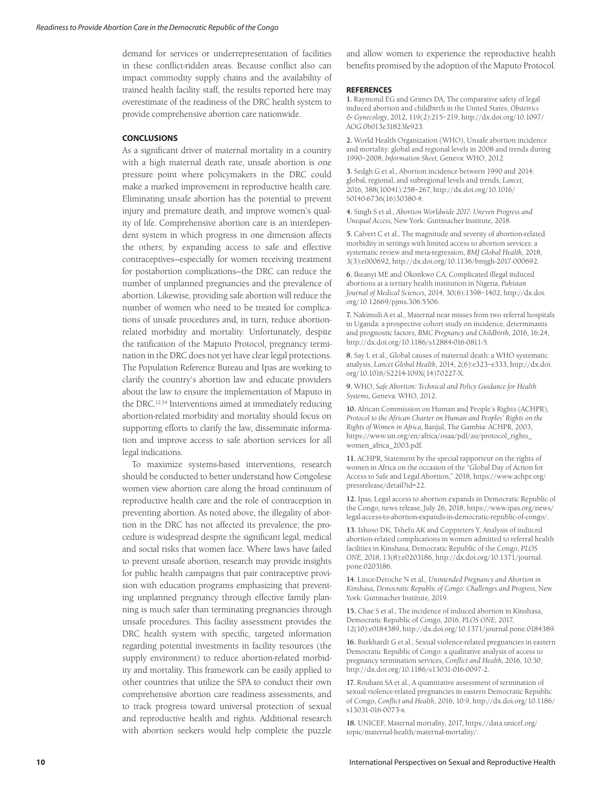demand for services or underrepresentation of facilities in these conflict-ridden areas. Because conflict also can impact commodity supply chains and the availability of trained health facility staff, the results reported here may overestimate of the readiness of the DRC health system to provide comprehensive abortion care nationwide.

## **CONCLUSIONS**

As a significant driver of maternal mortality in a country with a high maternal death rate, unsafe abortion is one pressure point where policymakers in the DRC could make a marked improvement in reproductive health care. Eliminating unsafe abortion has the potential to prevent injury and premature death, and improve women's quality of life. Comprehensive abortion care is an interdependent system in which progress in one dimension affects the others; by expanding access to safe and effective contraceptives—especially for women receiving treatment for postabortion complications—the DRC can reduce the number of unplanned pregnancies and the prevalence of abortion. Likewise, providing safe abortion will reduce the number of women who need to be treated for complications of unsafe procedures and, in turn, reduce abortionrelated morbidity and mortality. Unfortunately, despite the ratification of the Maputo Protocol, pregnancy termination in the DRC does not yet have clear legal protections. The Population Reference Bureau and Ipas are working to clarify the country's abortion law and educate providers about the law to ensure the implementation of Maputo in the DRC.12,34 Interventions aimed at immediately reducing abortion-related morbidity and mortality should focus on supporting efforts to clarify the law, disseminate information and improve access to safe abortion services for all legal indications.

To maximize systems-based interventions, research should be conducted to better understand how Congolese women view abortion care along the broad continuum of reproductive health care and the role of contraception in preventing abortion. As noted above, the illegality of abortion in the DRC has not affected its prevalence; the procedure is widespread despite the significant legal, medical and social risks that women face. Where laws have failed to prevent unsafe abortion, research may provide insights for public health campaigns that pair contraceptive provision with education programs emphasizing that preventing unplanned pregnancy through effective family planning is much safer than terminating pregnancies through unsafe procedures. This facility assessment provides the DRC health system with specific, targeted information regarding potential investments in facility resources (the supply environment) to reduce abortion-related morbidity and mortality. This framework can be easily applied to other countries that utilize the SPA to conduct their own comprehensive abortion care readiness assessments, and to track progress toward universal protection of sexual and reproductive health and rights. Additional research with abortion seekers would help complete the puzzle

and allow women to experience the reproductive health benefits promised by the adoption of the Maputo Protocol.

#### **REFERENCES**

**1.** Raymond EG and Grimes DA, The comparative safety of legal induced abortion and childbirth in the United States, *Obstetrics & Gynecology*, 2012, 119(2):215–219, http://dx.doi.org/10.1097/ AOG.0b013e31823fe923.

**2.** World Health Organization (WHO), Unsafe abortion incidence and mortality: global and regional levels in 2008 and trends during 1990–2008, *Information Sheet*, Geneva: WHO, 2012.

**3.** Sedgh G et al., Abortion incidence between 1990 and 2014: global, regional, and subregional levels and trends, *Lancet*, 2016, 388(10041):258–267, http://dx.doi.org/10.1016/ S0140-6736(16)30380-4.

**4.** Singh S et al., *Abortion Worldwide 2017: Uneven Progress and Unequal Access*, New York: Guttmacher Institute, 2018.

**5.** Calvert C et al., The magnitude and severity of abortion-related morbidity in settings with limited access to abortion services: a systematic review and meta-regression, *BMJ Global Health*, 2018, 3(3):e000692, http://dx.doi.org/10.1136/bmjgh-2017-000692.

**6.** Ikeanyi ME and Okonkwo CA, Complicated illegal induced abortions at a tertiary health institution in Nigeria, *Pakistan Journal of Medical Sciences*, 2014, 30(6):1398–1402, http://dx.doi. org/10.12669/pjms.306.5506.

**7.** Nakimuli A et al., Maternal near misses from two referral hospitals in Uganda: a prospective cohort study on incidence, determinants and prognostic factors, *BMC Pregnancy and Childbirth*, 2016, 16:24, http://dx.doi.org/10.1186/s12884-016-0811-5.

**8.** Say L et al., Global causes of maternal death: a WHO systematic analysis, *Lancet Global Health*, 2014, 2(6):e323–e333, http://dx.doi. org/10.1016/S2214-109X(14)70227-X.

**9.** WHO, *Safe Abortion: Technical and Policy Guidance for Health Systems*, Geneva: WHO, 2012.

**10.** African Commission on Human and People's Rights (ACHPR), *Protocol to the African Charter on Human and Peoples' Rights on the Rights of Women in Africa*, Banjul, The Gambia: ACHPR, 2003, https://www.un.org/en/africa/osaa/pdf/au/protocol\_rights\_ women\_africa\_2003.pdf.

**11.** ACHPR, Statement by the special rapporteur on the rights of women in Africa on the occasion of the "Global Day of Action for Access to Safe and Legal Abortion," 2018, https://www.achpr.org/ pressrelease/detail?id=22.

**12.** Ipas, Legal access to abortion expands in Democratic Republic of the Congo, news release, July 26, 2018, https://www.ipas.org/news/ legal-access-to-abortion-expands-in-democratic-republic-of-congo/.

**13.** Ishoso DK, Tshefu AK and Coppieters Y, Analysis of induced abortion-related complications in women admitted to referral health facilities in Kinshasa, Democratic Republic of the Congo, *PLOS ONE*, 2018, 13(8):e0203186, http://dx.doi.org/10.1371/journal. pone.0203186.

**14.** Lince-Deroche N et al., *Unintended Pregnancy and Abortion in Kinshasa, Democratic Republic of Congo: Challenges and Progress*, New York: Guttmacher Institute, 2019.

**15.** Chae S et al., The incidence of induced abortion in Kinshasa, Democratic Republic of Congo, 2016, *PLOS ONE*, 2017, 12(10):e0184389, http://dx.doi.org/10.1371/journal.pone.0184389.

**16.** Burkhardt G et al., Sexual violence-related pregnancies in eastern Democratic Republic of Congo: a qualitative analysis of access to pregnancy termination services, *Conflict and Health*, 2016, 10:30, http://dx.doi.org/10.1186/s13031-016-0097-2.

**17.** Rouhani SA et al., A quantitative assessment of termination of sexual violence-related pregnancies in eastern Democratic Republic of Congo, *Conflict and Health*, 2016, 10:9, http://dx.doi.org/10.1186/ s13031-016-0073-x.

**18.** UNICEF, Maternal mortality, 2017, https://data.unicef.org/ topic/maternal-health/maternal-mortality/.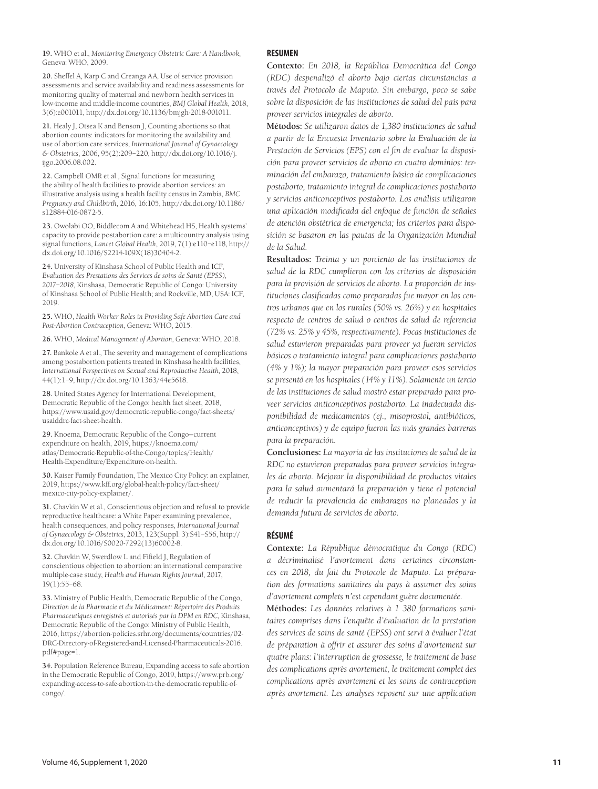**19.** WHO et al., *Monitoring Emergency Obstetric Care: A Handbook*, Geneva: WHO, 2009.

**20.** Sheffel A, Karp C and Creanga AA, Use of service provision assessments and service availability and readiness assessments for monitoring quality of maternal and newborn health services in low-income and middle-income countries, *BMJ Global Health*, 2018, 3(6):e001011, http://dx.doi.org/10.1136/bmjgh-2018-001011.

**21.** Healy J, Otsea K and Benson J, Counting abortions so that abortion counts: indicators for monitoring the availability and use of abortion care services, *International Journal of Gynaecology & Obstetrics*, 2006, 95(2):209–220, http://dx.doi.org/10.1016/j. ijgo.2006.08.002.

**22.** Campbell OMR et al., Signal functions for measuring the ability of health facilities to provide abortion services: an illustrative analysis using a health facility census in Zambia, *BMC Pregnancy and Childbirth*, 2016, 16:105, http://dx.doi.org/10.1186/ s12884-016-0872-5.

**23.** Owolabi OO, Biddlecom A and Whitehead HS, Health systems' capacity to provide postabortion care: a multicountry analysis using signal functions, *Lancet Global Health*, 2019, 7(1):e110–e118, http:// dx.doi.org/10.1016/S2214-109X(18)30404-2.

**24.** University of Kinshasa School of Public Health and ICF, *Evaluation des Prestations des Services de soins de Santé (EPSS), 2017–2018*, Kinshasa, Democratic Republic of Congo: University of Kinshasa School of Public Health; and Rockville, MD, USA: ICF, 2019.

**25.** WHO, *Health Worker Roles in Providing Safe Abortion Care and Post-Abortion Contraception*, Geneva: WHO, 2015.

**26.** WHO, *Medical Management of Abortion*, Geneva: WHO, 2018.

**27.** Bankole A et al., The severity and management of complications among postabortion patients treated in Kinshasa health facilities, *International Perspectives on Sexual and Reproductive Health*, 2018, 44(1):1–9, http://dx.doi.org/10.1363/44e5618.

**28.** United States Agency for International Development, Democratic Republic of the Congo: health fact sheet, 2018, https://www.usaid.gov/democratic-republic-congo/fact-sheets/ usaiddrc-fact-sheet-health.

**29.** Knoema, Democratic Republic of the Congo—current expenditure on health, 2019, https://knoema.com/ atlas/Democratic-Republic-of-the-Congo/topics/Health/ Health-Expenditure/Expenditure-on-health.

**30.** Kaiser Family Foundation, The Mexico City Policy: an explainer, 2019, https://www.kff.org/global-health-policy/fact-sheet/ mexico-city-policy-explainer/.

**31.** Chavkin W et al., Conscientious objection and refusal to provide reproductive healthcare: a White Paper examining prevalence, health consequences, and policy responses, *International Journal of Gynaecology & Obstetrics*, 2013, 123(Suppl. 3):S41–S56, http:// dx.doi.org/10.1016/S0020-7292(13)60002-8.

**32.** Chavkin W, Swerdlow L and Fifield J, Regulation of conscientious objection to abortion: an international comparative multiple-case study, *Health and Human Rights Journal*, 2017, 19(1):55–68.

**33.** Ministry of Public Health, Democratic Republic of the Congo, *Direction de la Pharmacie et du Médicament: Répertoire des Produits Pharmaceutiques enregistrés et autorisés par la DPM en RDC*, Kinshasa, Democratic Republic of the Congo: Ministry of Public Health, 2016, https://abortion-policies.srhr.org/documents/countries/02- DRC-Directory-of-Registered-and-Licensed-Pharmaceuticals-2016. pdf#page=1.

**34.** Population Reference Bureau, Expanding access to safe abortion in the Democratic Republic of Congo, 2019, https://www.prb.org/ expanding-access-to-safe-abortion-in-the-democratic-republic-ofcongo/.

## **RESUMEN**

**Contexto:** *En 2018, la República Democrática del Congo (RDC) despenalizó el aborto bajo ciertas circunstancias a través del Protocolo de Maputo. Sin embargo, poco se sabe sobre la disposición de las instituciones de salud del país para proveer servicios integrales de aborto.*

**Métodos:** *Se utilizaron datos de 1,380 instituciones de salud a partir de la Encuesta Inventario sobre la Evaluación de la Prestación de Servicios (EPS) con el fin de evaluar la disposición para proveer servicios de aborto en cuatro dominios: terminación del embarazo, tratamiento básico de complicaciones postaborto, tratamiento integral de complicaciones postaborto y servicios anticonceptivos postaborto. Los análisis utilizaron una aplicación modificada del enfoque de función de señales de atención obstétrica de emergencia; los criterios para disposición se basaron en las pautas de la Organización Mundial de la Salud.*

**Resultados:** *Treinta y un porciento de las instituciones de salud de la RDC cumplieron con los criterios de disposición para la provisión de servicios de aborto. La proporción de instituciones clasificadas como preparadas fue mayor en los centros urbanos que en los rurales (50% vs. 26%) y en hospitales respecto de centros de salud o centros de salud de referencia (72% vs. 25% y 45%, respectivamente). Pocas instituciones de salud estuvieron preparadas para proveer ya fueran servicios básicos o tratamiento integral para complicaciones postaborto (4% y 1%); la mayor preparación para proveer esos servicios se presentó en los hospitales (14% y 11%). Solamente un tercio de las instituciones de salud mostró estar preparado para proveer servicios anticonceptivos postaborto. La inadecuada disponibilidad de medicamentos (ej., misoprostol, antibióticos, anticonceptivos) y de equipo fueron las más grandes barreras para la preparación.*

**Conclusiones:** *La mayoría de las instituciones de salud de la RDC no estuvieron preparadas para proveer servicios integrales de aborto. Mejorar la disponibilidad de productos vitales para la salud aumentará la preparación y tiene el potencial de reducir la prevalencia de embarazos no planeados y la demanda futura de servicios de aborto.* 

## **RÉSUMÉ**

**Contexte:** *La République démocratique du Congo (RDC) a décriminalisé l'avortement dans certaines circonstances en 2018, du fait du Protocole de Maputo. La préparation des formations sanitaires du pays à assumer des soins d'avortement complets n'est cependant guère documentée.*

**Méthodes:** *Les données relatives à 1 380 formations sanitaires comprises dans l'enquête d'évaluation de la prestation des services de soins de santé (EPSS) ont servi à évaluer l'état de préparation à offrir et assurer des soins d'avortement sur quatre plans: l'interruption de grossesse, le traitement de base des complications après avortement, le traitement complet des complications après avortement et les soins de contraception après avortement. Les analyses reposent sur une application*